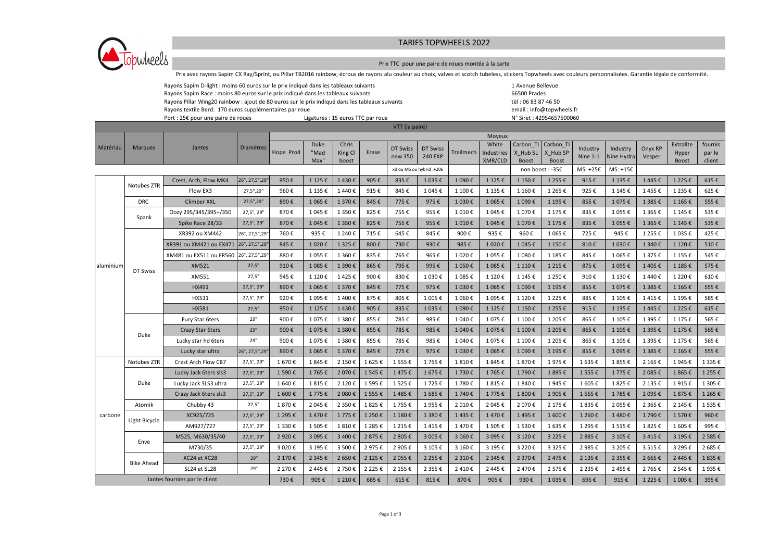## TARIFS TOPWHEELS 2022



## Prix TTC pour une paire de roues montée à la carte

Prix avec rayons Sapim CX Ray/Sprint, ou Pillar TB2016 rainbow, écrous de rayons alu couleur au choix, valves et scotch tubeless, stickers Topwheels avec couleurs personnalisées. Garantie légale de conformité.

|                                                                         | Rayons Sapim D-light : moins 60 euros sur le prix indiqué dans les tableaux suivants                                                                       |                                       |                  |           |             |           |           |                |                          |           |            |           |                                                      | 1 Avenue Bellevue   |                        |           |           |           |  |  |  |  |  |
|-------------------------------------------------------------------------|------------------------------------------------------------------------------------------------------------------------------------------------------------|---------------------------------------|------------------|-----------|-------------|-----------|-----------|----------------|--------------------------|-----------|------------|-----------|------------------------------------------------------|---------------------|------------------------|-----------|-----------|-----------|--|--|--|--|--|
|                                                                         | Rayons Sapim Race : moins 80 euros sur le prix indiqué dans les tableaux suivants                                                                          |                                       |                  |           |             |           |           |                |                          |           |            |           |                                                      | 66500 Prades        |                        |           |           |           |  |  |  |  |  |
|                                                                         | Rayons Pillar Wing20 rainbow : ajout de 80 euros sur le prix indiqué dans les tableaux suivants<br>Rayons textile Berd: 170 euros supplémentaires par roue |                                       |                  |           |             |           |           |                |                          |           |            |           |                                                      | tèl: 06 83 87 46 50 |                        |           |           |           |  |  |  |  |  |
| Port : 25€ pour une paire de roues<br>Ligatures : 15 euros TTC par roue |                                                                                                                                                            |                                       |                  |           |             |           |           |                |                          |           |            |           | email: info@topwheels.fr<br>N° Siret: 42954657500060 |                     |                        |           |           |           |  |  |  |  |  |
|                                                                         |                                                                                                                                                            |                                       |                  |           |             |           |           | VTT (la paire) |                          |           |            |           |                                                      |                     |                        |           |           |           |  |  |  |  |  |
| Moyeux                                                                  |                                                                                                                                                            |                                       |                  |           |             |           |           |                |                          |           |            |           |                                                      |                     |                        |           |           |           |  |  |  |  |  |
| Matériau                                                                | <b>Marques</b>                                                                                                                                             | Jantes                                | <b>Diamètres</b> |           | <b>Duke</b> | Chris     |           | DT Swiss       | DT Swiss                 |           | White      | Carbon TI | Carbon TI                                            | Industry            |                        | Onyx RP   | Extralite | fournis   |  |  |  |  |  |
|                                                                         |                                                                                                                                                            |                                       |                  | Hope Pro4 | "Mad        | King Cl   | Erase     | new 350        | <b>240 EXP</b>           | Trailmech | Industries | X Hub SL  | X Hub SP                                             | Nine $1-1$          | Industry<br>Nine Hydra | Vesper    | Hyper     | par le    |  |  |  |  |  |
|                                                                         |                                                                                                                                                            |                                       |                  |           | Max"        | boost     |           |                |                          |           | XMR/CLD    | Boost     | Boost                                                |                     |                        |           | Boost     | client    |  |  |  |  |  |
|                                                                         |                                                                                                                                                            |                                       |                  |           |             |           |           |                | xd ou MS ou hybrid :+20€ |           |            |           | non boost: -35€                                      | MS: +25€            | $MS: +15E$             |           |           |           |  |  |  |  |  |
|                                                                         | Notubes ZTR                                                                                                                                                | Crest, Arch, Flow MK4                 | 26", 27,5", 29'  | 950€      | 1 125 €     | 1430€     | 905€      | 835€           | 1 035€                   | 1 090€    | 1 125 €    | 1 150€    | 1 2 5 5 €                                            | 915€                | 1 135€                 | 1445€     | 1 225€    | 615€      |  |  |  |  |  |
|                                                                         |                                                                                                                                                            | Flow EX3                              | 27,5",29"        | 960€      | 1 135 €     | 1440€     | 915€      | 845€           | 1 045€                   | 1 100€    | 1 135 €    | 1 160€    | 1 265€                                               | 925€                | 1 145 €                | 1455€     | 1 2 3 5 € | 625€      |  |  |  |  |  |
|                                                                         | <b>DRC</b>                                                                                                                                                 | Climber XXL                           | 27,5",29"        | 890€      | 1 065€      | 1 370€    | 845€      | 775€           | 975€                     | 1 030€    | 1 065€     | 1 090€    | 1 195€                                               | 855€                | 1 075€                 | 1 385€    | 1 165€    | 555€      |  |  |  |  |  |
|                                                                         | Spank                                                                                                                                                      | Oozy 295/345/395+/350                 | 27,5", 29"       | 870€      | 1 045 €     | 1 350€    | 825€      | 755€           | 955€                     | 1 010€    | 1 045€     | 1 070€    | 1 175 €                                              | 835€                | 1 055€                 | 1 3 6 5 € | 1 145 €   | 535€      |  |  |  |  |  |
| aluminium                                                               |                                                                                                                                                            | Spike Race 28/33                      | 27,5", 29"       | 870€      | 1 045 €     | 1 350€    | 825€      | 755€           | 955€                     | 1 010€    | 1 045€     | 1 070€    | 1 175 €                                              | 835€                | 1 055€                 | 1 3 6 5 € | 1 145€    | 535€      |  |  |  |  |  |
|                                                                         | DT Swiss                                                                                                                                                   | XR392 ou XM442                        | 26", 27,5", 29   | 760€      | 935€        | 1 240€    | 715€      | 645€           | 845€                     | 900€      | 935€       | 960€      | 1 065€                                               | 725€                | 945€                   | 1 255 €   | 1 035€    | 425€      |  |  |  |  |  |
|                                                                         |                                                                                                                                                            | XR391 ou XM421 ou EX471 26", 27,5",29 |                  | 845€      | 1 020€      | 1 3 2 5 € | 800€      | 730€           | 930€                     | 985€      | 1 020€     | 1 045€    | 1 150€                                               | 810€                | 1 030€                 | 1 340€    | 1 120€    | 510€      |  |  |  |  |  |
|                                                                         |                                                                                                                                                            | XM481 ou EX511 ou FR560 26", 27,5",29 |                  | 880€      | 1 055 €     | 1 360€    | 835€      | 765€           | 965€                     | 1 020€    | 1 055€     | 1 080€    | 1 185€                                               | 845€                | 1 065€                 | 1 375€    | 1 155€    | 545€      |  |  |  |  |  |
|                                                                         |                                                                                                                                                            | XM521                                 | 27,5"            | 910€      | 1 085€      | 1 390€    | 865€      | 795€           | 995€                     | 1 050€    | 1 085€     | 1 110€    | 1 2 1 5 €                                            | 875€                | 1 095€                 | 1405€     | 1 185€    | 575€      |  |  |  |  |  |
|                                                                         |                                                                                                                                                            | XM551                                 | 27,5"            | 945€      | 1 120€      | 1425€     | 900€      | 830€           | 1 030€                   | 1 085€    | 1 120€     | 1145€     | 1 250€                                               | 910€                | 1 130€                 | 1440€     | 1 2 2 0 € | 610€      |  |  |  |  |  |
|                                                                         |                                                                                                                                                            | HX491                                 | 27,5", 29"       | 890€      | 1 065€      | 1370€     | 845€      | 775€           | 975€                     | 1 030€    | 1 065€     | 1 090€    | 1 195€                                               | 855€                | 1 075€                 | 1 385€    | 1 165€    | 555€      |  |  |  |  |  |
|                                                                         |                                                                                                                                                            | HX531                                 | 27,5", 29"       | 920€      | 1 095€      | 1400€     | 875€      | 805€           | 1 005€                   | 1 060€    | 1 095€     | 1 120€    | 1 2 2 5 €                                            | 885€                | 1 105€                 | 1415€     | 1 195€    | 585€      |  |  |  |  |  |
|                                                                         |                                                                                                                                                            | <b>HX581</b>                          | 27,5"            | 950€      | 1 125 €     | 1430€     | 905€      | 835€           | 1 035€                   | 1 090€    | 1 125€     | 1 150€    | 1 2 5 5 €                                            | 915€                | 1 135€                 | 1445€     | 1 225€    | 615€      |  |  |  |  |  |
|                                                                         |                                                                                                                                                            | Fury Star 6ters                       | 29"              | 900€      | 1 075€      | 1 380€    | 855€      | 785€           | 985€                     | 1 040€    | 1 075€     | 1 100€    | 1 205€                                               | 865€                | 1 105€                 | 1 395€    | 1 175 €   | 565€      |  |  |  |  |  |
|                                                                         | Duke                                                                                                                                                       | Crazy Star 6ters                      | 29"              | 900€      | 1 075€      | 1 380€    | 855€      | 785€           | 985€                     | 1 040€    | 1 075€     | 1 100€    | 1 205€                                               | 865€                | 1 105€                 | 1 395€    | 1 175€    | 565€      |  |  |  |  |  |
|                                                                         |                                                                                                                                                            | Lucky star hd 6ters                   | 29"              | 900€      | 1 075€      | 1 380€    | 855€      | 785€           | 985€                     | 1 040€    | 1 075€     | 1 100€    | 1 205€                                               | 865€                | 1 105€                 | 1 395€    | 1 175€    | 565€      |  |  |  |  |  |
|                                                                         |                                                                                                                                                            | Lucky star ultra                      | 26", 27,5", 29'  | 890€      | 1 065€      | 1370€     | 845€      | 775€           | 975€                     | 1 030€    | 1 065€     | 1 090€    | 1 195€                                               | 855€                | 1 095€                 | 1 385€    | 1 165€    | 555€      |  |  |  |  |  |
|                                                                         | Notubes ZTR                                                                                                                                                | Crest Arch Flow CB7                   | 27,5", 29"       | 1670€     | 1845€       | 2 150€    | 1625€     | 1 555€         | 1 755€                   | 1810€     | 1845€      | 1870€     | 1975€                                                | 1635€               | 1855€                  | 2 165 €   | 1945€     | 1 3 3 5 € |  |  |  |  |  |
|                                                                         |                                                                                                                                                            | Lucky Jack 6ters sls3                 | 27,5", 29"       | 1 590€    | 1765€       | 2 070€    | 1545€     | 1475€          | 1675€                    | 1730€     | 1765€      | 1790€     | 1895€                                                | 1555€               | 1775€                  | 2 085€    | 1865€     | 1 255€    |  |  |  |  |  |
|                                                                         | Duke                                                                                                                                                       | Lucky Jack SLS3 ultra                 | 27,5", 29"       | 1640€     | 1815€       | 2 120€    | 1595€     | 1 525€         | 1725€                    | 1780€     | 1815€      | 1840€     | 1945€                                                | 1605€               | 1825€                  | 2 135 €   | 1915€     | 1 305€    |  |  |  |  |  |
|                                                                         |                                                                                                                                                            | Crazy Jack 6ters sls3                 | 27,5", 29"       | 1 600€    | 1775€       | 2 080€    | 1 555€    | 1485€          | 1685€                    | 1740€     | 1775€      | 1 800€    | 1905€                                                | 1565€               | 1785€                  | 2 095€    | 1875€     | 1 265€    |  |  |  |  |  |
|                                                                         | Atomik                                                                                                                                                     | Chubby 43                             | 27,5"            | 1870€     | 2 045 €     | 2 350€    | 1825€     | 1755€          | 1955€                    | 2 010€    | 2 045€     | 2 070€    | 2 175 €                                              | 1835€               | 2 055€                 | 2 3 6 5 € | 2 145 €   | 1 535 €   |  |  |  |  |  |
| carbone                                                                 | Light Bicycle                                                                                                                                              | XC925/725                             | 27,5", 29"       | 1 295€    | 1470€       | 1775€     | 1 250€    | 1 180€         | 1 380€                   | 1435€     | 1470€      | 1495€     | 1 600€                                               | 1 260€              | 1480€                  | 1790€     | 1570€     | 960€      |  |  |  |  |  |
|                                                                         |                                                                                                                                                            | AM927/727                             | 27,5", 29"       | 1 330€    | 1505€       | 1810€     | 1 285€    | 1 215 €        | 1415€                    | 1470€     | 1505€      | 1530€     | 1635€                                                | 1 295€              | 1515€                  | 1825€     | 1 605€    | 995€      |  |  |  |  |  |
|                                                                         | Enve                                                                                                                                                       | M525, M630/35/40                      | 27,5", 29"       | 2 920€    | 3 095€      | 3 400€    | 2875€     | 2 805€         | 3 005€                   | 3 060€    | 3 095€     | 3 120€    | 3 2 2 5 €                                            | 2885€               | 3 105€                 | 3415€     | 3 195€    | 2 585€    |  |  |  |  |  |
|                                                                         |                                                                                                                                                            | M730/35                               | 27,5", 29"       | 3 0 2 0 € | 3 195 €     | 3 500€    | 2975€     | 2 905 €        | 3 105€                   | 3 160€    | 3 195€     | 3 2 2 0€  | 3 3 2 5 €                                            | 2 985€              | 3 205€                 | 3 515€    | 3 295€    | 2 685€    |  |  |  |  |  |
|                                                                         | <b>Bike Ahead</b>                                                                                                                                          | XC24 et XC28                          | 29"              | 2 170€    | 2 345 €     | 2 650€    | 2 125 €   | 2 055 €        | 2 2 5 5 €                | 2 310€    | 2 3 4 5 €  | 2 370€    | 2 475 €                                              | 2 135 €             | 2 355€                 | 2 665€    | 2 445€    | 1835€     |  |  |  |  |  |
|                                                                         |                                                                                                                                                            | SL24 et SL28                          | 29"              | 2 270€    | 2445€       | 2 750€    | 2 2 2 5 € | 2 155 €        | 2 3 5 5 €                | 2 410€    | 2445€      | 2 470€    | 2 575€                                               | 2 2 3 5 €           | 2455€                  | 2 765€    | 2 545€    | 1935€     |  |  |  |  |  |
|                                                                         |                                                                                                                                                            | Jantes fournies par le client         |                  | 730€      | 905€        | 1 210€    | 685€      | 615€           | 815€                     | 870€      | 905€       | 930€      | 1 035€                                               | 695€                | 915€                   | 1 2 2 5 € | 1 005€    | 395€      |  |  |  |  |  |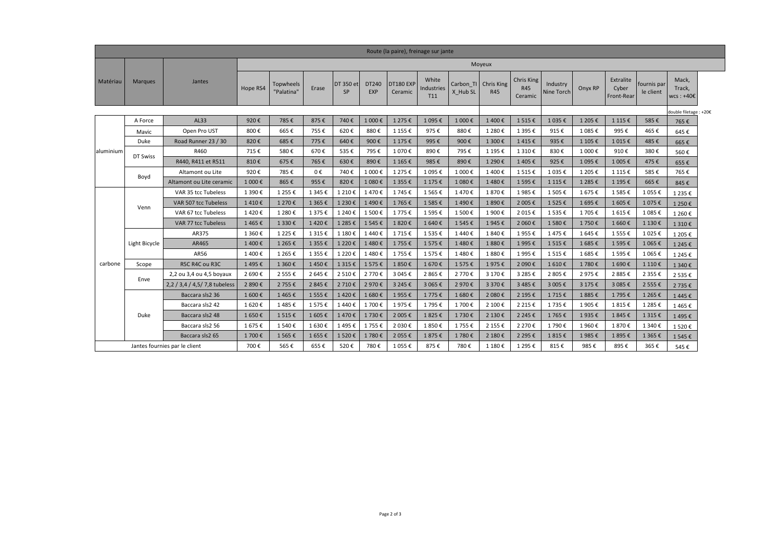| Route (la paire), freinage sur jante |                |                                |          |                         |           |                        |                     |                      |                                        |          |                             |                                     |                        |         |                                  |                          |                                 |  |
|--------------------------------------|----------------|--------------------------------|----------|-------------------------|-----------|------------------------|---------------------|----------------------|----------------------------------------|----------|-----------------------------|-------------------------------------|------------------------|---------|----------------------------------|--------------------------|---------------------------------|--|
|                                      |                |                                | Moyeux   |                         |           |                        |                     |                      |                                        |          |                             |                                     |                        |         |                                  |                          |                                 |  |
| Matériau                             | <b>Marques</b> | Jantes                         | Hope RS4 | Topwheels<br>"Palatina" | Erase     | DT 350 et<br><b>SP</b> | DT240<br><b>EXP</b> | DT180 EXP<br>Ceramic | White<br>Industries<br>T <sub>11</sub> | X Hub SL | Carbon TI Chris King<br>R45 | Chris King<br><b>R45</b><br>Ceramic | Industry<br>Nine Torch | Onyx RP | Extralite<br>Cyber<br>Front-Rear | fournis par<br>le client | Mack,<br>Track,<br>$wcs : +40E$ |  |
|                                      |                |                                |          |                         |           |                        |                     |                      |                                        |          |                             |                                     |                        |         |                                  |                          | double filetage : +20€          |  |
|                                      | A Force        | AL33                           | 920€     | 785€                    | 875€      | 740€                   | 1 000€              | 1 275€               | 1 095€                                 | 1 000€   | 1400€                       | 1515€                               | 1035€                  | 1 205€  | 1 1 1 5 €                        | 585€                     | 765€                            |  |
|                                      | Mavic          | Open Pro UST                   | 800€     | 665€                    | 755€      | 620€                   | 880€                | 1 155 €              | 975€                                   | 880€     | 1 280€                      | 1 3 9 5€                            | 915€                   | 1 085€  | 995€                             | 465€                     | 645€                            |  |
|                                      | Duke           | Road Runner 23 / 30            | 820€     | 685€                    | 775€      | 640€                   | 900€                | 1 175 €              | 995€                                   | 900€     | 1 300€                      | 1415€                               | 935€                   | 1 105€  | 1 015€                           | 485€                     | 665€                            |  |
| aluminium                            | DT Swiss       | R460                           | 715€     | 580€                    | 670€      | 535€                   | 795€                | 1 070€               | 890€                                   | 795€     | 1 195€                      | 1 310€                              | 830€                   | 1 000€  | 910€                             | 380€                     | 560€                            |  |
|                                      |                | R440, R411 et R511             | 810€     | 675€                    | 765€      | 630€                   | 890€                | 1 165 €              | 985€                                   | 890€     | 1 290€                      | 1405€                               | 925€                   | 1 095€  | 1 005€                           | 475€                     | 655€                            |  |
|                                      | Boyd           | Altamont ou Lite               | 920€     | 785€                    | 0€        | 740€                   | 1 000€              | 1 275€               | 1 095€                                 | 1 000€   | 1400€                       | 1515€                               | 1 0 3 5 €              | 1 205€  | 1 115 €                          | 585€                     | 765€                            |  |
|                                      |                | Altamont ou Lite ceramic       | 1 000€   | 865€                    | 955€      | 820€                   | 1 080€              | 1 3 5 5 €            | 1 175 €                                | 1 080€   | 1480€                       | 1 595€                              | 1 115 €                | 1 285€  | 1 195€                           | 665€                     | 845€                            |  |
|                                      | Venn           | VAR 35 tcc Tubeless            | 1 390€   | 1 2 5 5 €               | 1 345 €   | 1 210€                 | 1470€               | 1745€                | 1 5 6 5€                               | 1470€    | 1870€                       | 1985€                               | 1 505€                 | 1675€   | 1585€                            | 1 055€                   | 1 2 3 5 €                       |  |
|                                      |                | VAR 507 tcc Tubeless           | 1410€    | 1 270€                  | 1 365€    | 1 230€                 | 1490€               | 1 765€               | 1 585€                                 | 1490€    | 1 890€                      | 2 005€                              | 1 525€                 | 1695€   | 1605€                            | 1 075€                   | 1 250€                          |  |
|                                      |                | VAR 67 tcc Tubeless            | 1420€    | 1 280€                  | 1 375€    | 1 240€                 | 1500€               | 1775€                | 1 595€                                 | 1 500€   | 1 900€                      | 2 015€                              | 1 535 €                | 1705€   | 1615€                            | 1 085€                   | 1 260€                          |  |
|                                      |                | VAR 77 tcc Tubeless            | 1465€    | 1 330€                  | 1420€     | 1 285€                 | 1545€               | 1820€                | 1 640 €                                | 1545€    | 1945€                       | 2 060€                              | 1 580€                 | 1750€   | 1 660€                           | 1 130€                   | 1 310€                          |  |
|                                      |                | AR375                          | 1 360€   | 1 2 2 5 €               | 1 3 1 5 € | 1 180€                 | 1440€               | 1715€                | 1535€                                  | 1440€    | 1840€                       | 1955€                               | 1475€                  | 1645€   | 1 555 €                          | 1 025€                   | 1 205€                          |  |
|                                      | Light Bicycle  | AR465                          | 1400€    | 1 265€                  | 1 355€    | 1 2 2 0 €              | 1480€               | 1 755€               | 1575€                                  | 1480€    | 1880€                       | 1995€                               | 1515€                  | 1685€   | 1 595€                           | 1 065€                   | 1 245 €                         |  |
|                                      |                | AR56                           | 1400€    | 1 2 6 5€                | 1 355€    | 1 220€                 | 1480€               | 1755€                | 1575€                                  | 1480€    | 1880€                       | 1995€                               | 1515€                  | 1685€   | 1 595€                           | 1 065€                   | 1 245 €                         |  |
| carbone                              | Scope          | R5C R4C ou R3C                 | 1495€    | 1 360€                  | 1450€     | 1 3 1 5 €              | 1575€               | 1850€                | 1670€                                  | 1575€    | 1975€                       | 2 090€                              | 1610€                  | 1780€   | 1690€                            | 1 110€                   | 1 340 €                         |  |
|                                      | Enve           | 2,2 ou 3,4 ou 4,5 boyaux       | 2 690€   | 2 555€                  | 2 645 €   | 2 510€                 | 2 770€              | 3 045 €              | 2 865€                                 | 2 770€   | 3 170 €                     | 3 285 €                             | 2 805€                 | 2975€   | 2 8 8 5€                         | 2 3 5 5 €                | 2 535 €                         |  |
|                                      |                | 2,2 / 3,4 / 4,5 / 7,8 tubeless | 2 890€   | 2 755€                  | 2 845 €   | 2 710€                 | 2 970€              | 3 245 €              | 3 065€                                 | 2 970€   | 3 370€                      | 3 485 €                             | 3 005€                 | 3 175 € | 3 085€                           | 2 555€                   | 2 735€                          |  |
|                                      |                | Baccara sls2 36                | 1 600€   | 1465€                   | 1 555€    | 1420€                  | 1680€               | 1955€                | 1775€                                  | 1 680€   | 2 080€                      | 2 195€                              | 1715€                  | 1885€   | 1795€                            | 1 2 6 5 €                | 1445€                           |  |
|                                      |                | Baccara sls2 42                | 1620€    | 1485€                   | 1575€     | 1440€                  | 1700€               | 1975€                | 1795€                                  | 1700€    | 2 100€                      | 2 2 1 5 €                           | 1735€                  | 1905€   | 1815€                            | 1 2 8 5€                 | 1465€                           |  |
|                                      | Duke           | Baccara sls2 48                | 1 650€   | 1515€                   | 1 605€    | 1470€                  | 1730€               | 2 005€               | 1825€                                  | 1730€    | 2 130€                      | 2 2 4 5 €                           | 1765€                  | 1935€   | 1845€                            | 1 3 1 5 €                | 1495€                           |  |
|                                      |                | Baccara sls2 56                | 1675€    | 1540€                   | 1630€     | 1495€                  | 1755€               | 2 030€               | 1850€                                  | 1755€    | 2 155 €                     | 2 270€                              | 1790€                  | 1960€   | 1870€                            | 1 340€                   | 1520€                           |  |
|                                      |                | Baccara sls2 65                | 1700€    | 1 565€                  | 1655€     | 1 520€                 | 1780€               | 2 055€               | 1875€                                  | 1780€    | 2 180€                      | 2 2 9 5€                            | 1815€                  | 1985€   | 1895€                            | 1 3 6 5 €                | 1 545 €                         |  |
|                                      |                | Jantes fournies par le client  | 700€     | 565€                    | 655€      | 520€                   | 780€                | 1 055 €              | 875€                                   | 780€     | 1 180€                      | 1 2 9 5 €                           | 815€                   | 985€    | 895€                             | 365€                     | 545€                            |  |